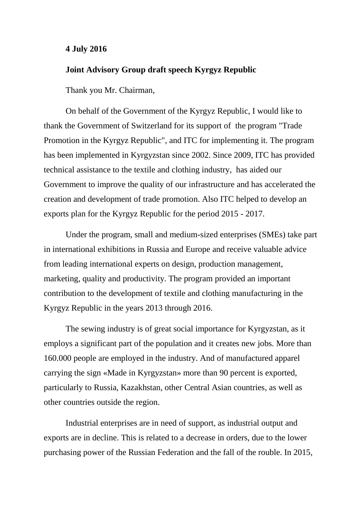## **4 July 2016**

## **Joint Advisory Group draft speech Kyrgyz Republic**

Thank you Mr. Chairman,

On behalf of the Government of the Kyrgyz Republic, I would like to thank the Government of Switzerland for its support of the program "Trade Promotion in the Kyrgyz Republic", and ITC for implementing it. The program has been implemented in Kyrgyzstan since 2002. Since 2009, ITC has provided technical assistance to the textile and clothing industry, has aided our Government to improve the quality of our infrastructure and has accelerated the creation and development of trade promotion. Also ITC helped to develop an exports plan for the Kyrgyz Republic for the period 2015 - 2017.

Under the program, small and medium-sized enterprises (SMEs) take part in international exhibitions in Russia and Europe and receive valuable advice from leading international experts on design, production management, marketing, quality and productivity. The program provided an important contribution to the development of textile and clothing manufacturing in the Kyrgyz Republic in the years 2013 through 2016.

The sewing industry is of great social importance for Kyrgyzstan, as it employs a significant part of the population and it creates new jobs. More than 160.000 people are employed in the industry. And of manufactured apparel carrying the sign «Made in Kyrgyzstan» more than 90 percent is exported, particularly to Russia, Kazakhstan, other Central Asian countries, as well as other countries outside the region.

Industrial enterprises are in need of support, as industrial output and exports are in decline. This is related to a decrease in orders, due to the lower purchasing power of the Russian Federation and the fall of the rouble. In 2015,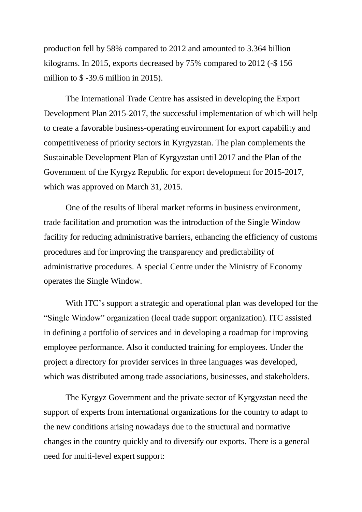production fell by 58% compared to 2012 and amounted to 3.364 billion kilograms. In 2015, exports decreased by 75% compared to 2012 (-\$ 156 million to \$ -39.6 million in 2015).

The International Trade Centre has assisted in developing the Export Development Plan 2015-2017, the successful implementation of which will help to create a favorable business-operating environment for export capability and competitiveness of priority sectors in Kyrgyzstan. The plan complements the Sustainable Development Plan of Kyrgyzstan until 2017 and the Plan of the Government of the Kyrgyz Republic for export development for 2015-2017, which was approved on March 31, 2015.

One of the results of liberal market reforms in business environment, trade facilitation and promotion was the introduction of the Single Window facility for reducing administrative barriers, enhancing the efficiency of customs procedures and for improving the transparency and predictability of administrative procedures. A special Centre under the Ministry of Economy operates the Single Window.

With ITC's support a strategic and operational plan was developed for the "Single Window" organization (local trade support organization). ITC assisted in defining a portfolio of services and in developing a roadmap for improving employee performance. Also it conducted training for employees. Under the project a directory for provider services in three languages was developed, which was distributed among trade associations, businesses, and stakeholders.

The Kyrgyz Government and the private sector of Kyrgyzstan need the support of experts from international organizations for the country to adapt to the new conditions arising nowadays due to the structural and normative changes in the country quickly and to diversify our exports. There is a general need for multi-level expert support: